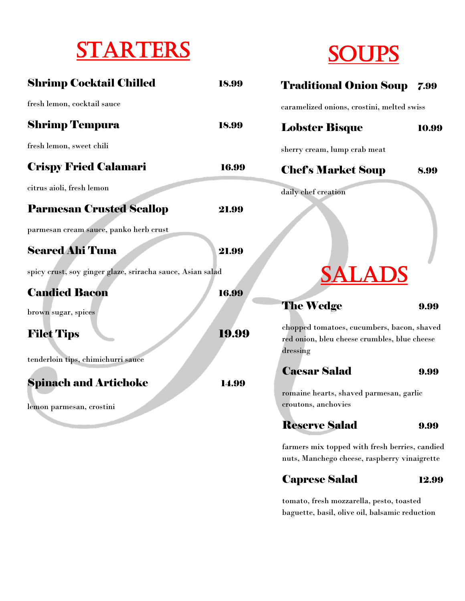## **STARTERS**



| <b>Shrimp Cocktail Chilled</b>                             | 18.99 | <b>Traditional Onion Soup 7.99</b>                                                             |       |  |
|------------------------------------------------------------|-------|------------------------------------------------------------------------------------------------|-------|--|
| fresh lemon, cocktail sauce                                |       | caramelized onions, crostini, melted swiss                                                     |       |  |
| <b>Shrimp Tempura</b>                                      | 18.99 | <b>Lobster Bisque</b>                                                                          | 10.99 |  |
| fresh lemon, sweet chili                                   |       | sherry cream, lump crab meat                                                                   |       |  |
| <b>Crispy Fried Calamari</b>                               | 16.99 | <b>Chef's Market Soup</b>                                                                      | 8.99  |  |
| citrus aioli, fresh lemon                                  |       | daily chef creation                                                                            |       |  |
| <b>Parmesan Crusted Scallop</b>                            | 21.99 |                                                                                                |       |  |
| parmesan cream sauce, panko herb crust                     |       |                                                                                                |       |  |
| <b>Seared Ahi Tuna</b>                                     | 21.99 |                                                                                                |       |  |
| spicy crust, soy ginger glaze, sriracha sauce, Asian salad |       |                                                                                                |       |  |
| <b>Candied Bacon</b>                                       | 16.99 |                                                                                                |       |  |
| brown sugar, spices                                        |       | <b>The Wedge</b>                                                                               | 9.99  |  |
| <b>Filet Tips</b>                                          | 19.99 | chopped tomatoes, cucumbers, bacon, shaved<br>red onion, bleu cheese crumbles, blue cheese     |       |  |
| tenderloin tips, chimichurri sauce                         |       | dressing                                                                                       |       |  |
| <b>Spinach and Artichoke</b>                               | 14.99 | <b>Caesar Salad</b><br>romaine hearts, shaved parmesan, garlic                                 | 9.99  |  |
| lemon parmesan, crostini                                   |       | croutons, anchovies                                                                            |       |  |
|                                                            |       | <b>Reserve Salad</b>                                                                           | 9.99  |  |
|                                                            |       | farmers mix topped with fresh berries, candied<br>nuts, Manchego cheese, raspberry vinaigrette |       |  |

Caprese Salad 12.99

tomato, fresh mozzarella, pesto, toasted baguette, basil, olive oil, balsamic reduction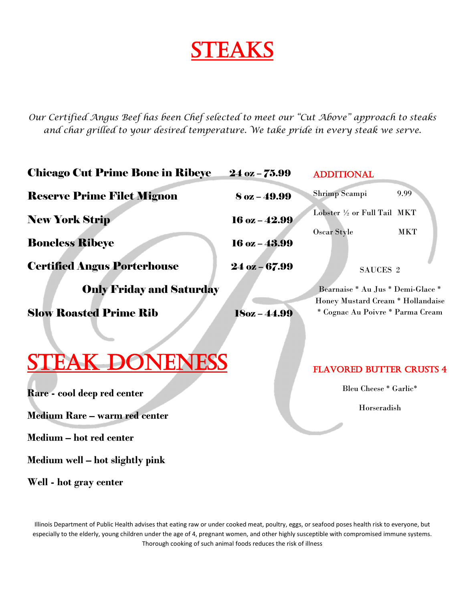## **STEAKS**

*Our Certified Angus Beef has been Chef selected to meet our "Cut Above" approach to steaks and char grilled to your desired temperature. We take pride in every steak we serve.*

| <b>Chicago Cut Prime Bone in Ribeye</b> | $24$ oz $-75.99$                  | <b>ADDITIONAL</b>                                                     |            |
|-----------------------------------------|-----------------------------------|-----------------------------------------------------------------------|------------|
| <b>Reserve Prime Filet Mignon</b>       | $8$ oz $-49.99$                   | Shrimp Scampi                                                         | 9.99       |
| <b>New York Strip</b>                   | $16$ oz $-42.99$                  | Lobster 1/2 or Full Tail MKT                                          |            |
| <b>Boneless Ribeye</b>                  | $16$ oz $-43.99$                  | Oscar Style                                                           | <b>MKT</b> |
| <b>Certified Angus Porterhouse</b>      | $24$ oz $-67.99$                  | SAUCES <sub>2</sub>                                                   |            |
| <b>Only Friday and Saturday</b>         | Bearnaise * Au Jus * Demi-Glace * |                                                                       |            |
| <b>Slow Roasted Prime Rib</b>           | $18oz - 44.99$                    | Honey Mustard Cream * Hollandaise<br>* Cognac Au Poivre * Parma Cream |            |
|                                         |                                   |                                                                       |            |
| <b>STEAK DONENESS</b>                   |                                   | <b>FLAVORED BUTTER CRUSTS 4</b>                                       |            |
| Rare - cool deep red center             |                                   | Bleu Cheese * Garlic*                                                 |            |
| <b>Medium Rare - warm red center</b>    |                                   | Horseradish                                                           |            |
| Medium – hot red center                 |                                   |                                                                       |            |

**Medium well – hot slightly pink**

**Well - hot gray center** 

Illinois Department of Public Health advises that eating raw or under cooked meat, poultry, eggs, or seafood poses health risk to everyone, but especially to the elderly, young children under the age of 4, pregnant women, and other highly susceptible with compromised immune systems. Thorough cooking of such animal foods reduces the risk of illness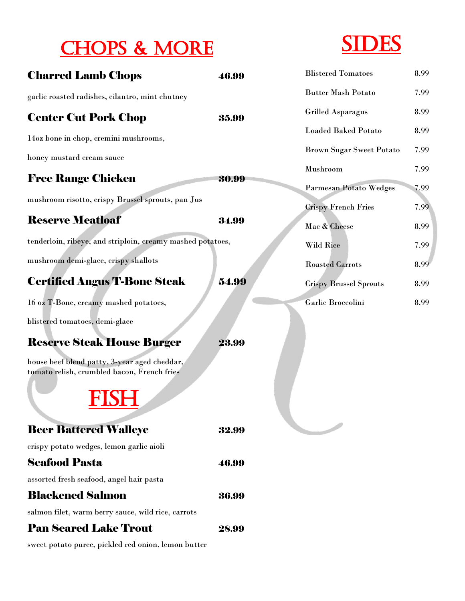### CHOPS & MORE



| <b>Charred Lamb Chops</b>                                                                   | 46.99 | <b>Blistered Tomatoes</b>                                   | 8.99         |
|---------------------------------------------------------------------------------------------|-------|-------------------------------------------------------------|--------------|
| garlic roasted radishes, cilantro, mint chutney                                             |       | <b>Butter Mash Potato</b>                                   | 7.99         |
| <b>Center Cut Pork Chop</b>                                                                 | 35.99 | <b>Grilled Asparagus</b>                                    | 8.99         |
| 14oz bone in chop, cremini mushrooms,                                                       |       | <b>Loaded Baked Potato</b>                                  | 8.99         |
| honey mustard cream sauce                                                                   |       | <b>Brown Sugar Sweet Potato</b>                             | 7.99         |
| <b>Free Range Chicken</b>                                                                   | 30.99 | Mushroom                                                    | 7.99         |
| mushroom risotto, crispy Brussel sprouts, pan Jus                                           |       | <b>Parmesan Potato Wedges</b><br><b>Crispy French Fries</b> | 7.99<br>7.99 |
| <b>Reserve Meatloaf</b>                                                                     | 34.99 | Mac & Cheese                                                | 8.99         |
| tenderloin, ribeye, and striploin, creamy mashed potatoes,                                  |       | Wild Rice                                                   | 7.99         |
| mushroom demi-glace, crispy shallots                                                        |       | <b>Roasted Carrots</b>                                      | 8.99         |
| <b>Certified Angus T-Bone Steak</b>                                                         | 54.99 | <b>Crispy Brussel Sprouts</b>                               | 8.99         |
| 16 oz T-Bone, creamy mashed potatoes,                                                       |       | Garlic Broccolini                                           | 8.99         |
| blistered tomatoes, demi-glace                                                              |       |                                                             |              |
| <b>Reserve Steak House Burger</b>                                                           | 23.99 |                                                             |              |
| house beef blend patty, 3-year aged cheddar,<br>tomato relish, crumbled bacon, French fries |       |                                                             |              |
| <b>Beer Battered Walleye</b>                                                                | 32.99 |                                                             |              |
| crispy potato wedges, lemon garlic aioli                                                    |       |                                                             |              |
| <b>Seafood Pasta</b>                                                                        | 46.99 |                                                             |              |
| assorted fresh seafood, angel hair pasta                                                    |       |                                                             |              |
| <b>Blackened Salmon</b>                                                                     | 36.99 |                                                             |              |
| salmon filet, warm berry sauce, wild rice, carrots                                          |       |                                                             |              |
| <b>Pan Seared Lake Trout</b>                                                                | 28.99 |                                                             |              |

sweet potato puree, pickled red onion, lemon butter